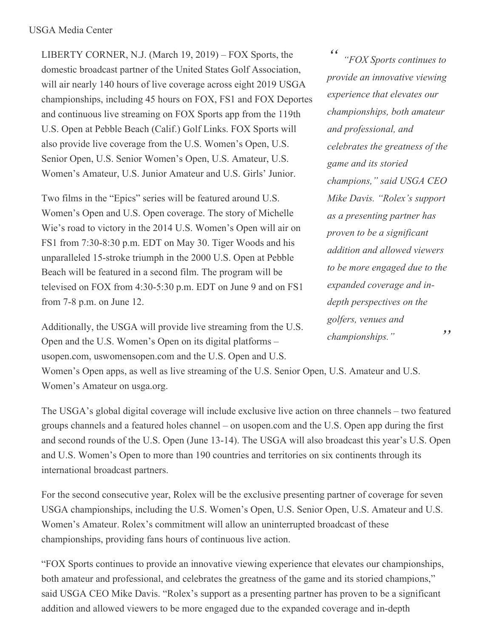LIBERTY CORNER, N.J. (March 19, 2019) – FOX Sports, the domestic broadcast partner of the United States Golf Association, will air nearly 140 hours of live coverage across eight 2019 USGA championships, including 45 hours on FOX, FS1 and FOX Deportes and continuous live streaming on FOX Sports app from the 119th U.S. Open at Pebble Beach (Calif.) Golf Links. FOX Sports will also provide live coverage from the U.S. Women's Open, U.S. Senior Open, U.S. Senior Women's Open, U.S. Amateur, U.S. Women's Amateur, U.S. Junior Amateur and U.S. Girls' Junior.

Two films in the "Epics" series will be featured around U.S. Women's Open and U.S. Open coverage. The story of Michelle Wie's road to victory in the 2014 U.S. Women's Open will air on FS1 from 7:30-8:30 p.m. EDT on May 30. Tiger Woods and his unparalleled 15-stroke triumph in the 2000 U.S. Open at Pebble Beach will be featured in a second film. The program will be televised on FOX from 4:30-5:30 p.m. EDT on June 9 and on FS1 from 7-8 p.m. on June 12.

Additionally, the USGA will provide live streaming from the U.S. Open and the U.S. Women's Open on its digital platforms – usopen.com, uswomensopen.com and the U.S. Open and U.S.

*" " "FOX Sports continues to provide an innovative viewing experience that elevates our championships, both amateur and professional, and celebrates the greatness of the game and its storied champions," said USGA CEO Mike Davis. "Rolex's support as a presenting partner has proven to be a significant addition and allowed viewers to be more engaged due to the expanded coverage and indepth perspectives on the golfers, venues and championships."*

Women's Open apps, as well as live streaming of the U.S. Senior Open, U.S. Amateur and U.S. Women's Amateur on usga.org.

The USGA's global digital coverage will include exclusive live action on three channels – two featured groups channels and a featured holes channel – on usopen.com and the U.S. Open app during the first and second rounds of the U.S. Open (June 13-14). The USGA will also broadcast this year's U.S. Open and U.S. Women's Open to more than 190 countries and territories on six continents through its international broadcast partners.

For the second consecutive year, Rolex will be the exclusive presenting partner of coverage for seven USGA championships, including the U.S. Women's Open, U.S. Senior Open, U.S. Amateur and U.S. Women's Amateur. Rolex's commitment will allow an uninterrupted broadcast of these championships, providing fans hours of continuous live action.

"FOX Sports continues to provide an innovative viewing experience that elevates our championships, both amateur and professional, and celebrates the greatness of the game and its storied champions," said USGA CEO Mike Davis. "Rolex's support as a presenting partner has proven to be a significant addition and allowed viewers to be more engaged due to the expanded coverage and in-depth